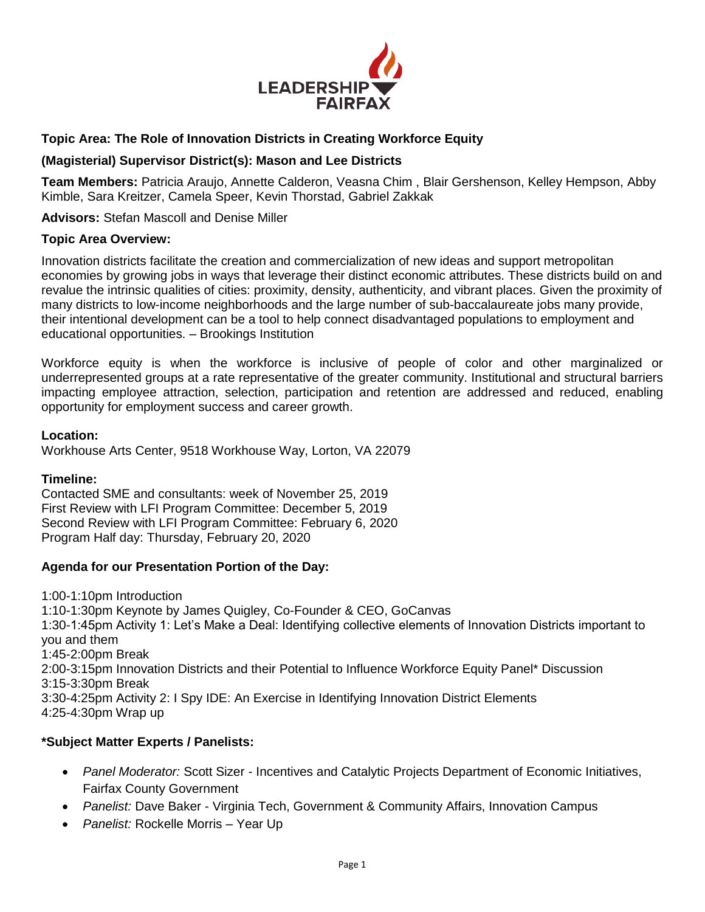

## **Topic Area: The Role of Innovation Districts in Creating Workforce Equity**

#### **(Magisterial) Supervisor District(s): Mason and Lee Districts**

**Team Members:** Patricia Araujo, Annette Calderon, Veasna Chim , Blair Gershenson, Kelley Hempson, Abby Kimble, Sara Kreitzer, Camela Speer, Kevin Thorstad, Gabriel Zakkak

**Advisors:** Stefan Mascoll and Denise Miller

#### **Topic Area Overview:**

Innovation districts facilitate the creation and commercialization of new ideas and support metropolitan economies by growing jobs in ways that leverage their distinct economic attributes. These districts build on and revalue the intrinsic qualities of cities: proximity, density, authenticity, and vibrant places. Given the proximity of many districts to low-income neighborhoods and the large number of sub-baccalaureate jobs many provide, their intentional development can be a tool to help connect disadvantaged populations to employment and educational opportunities. – Brookings Institution

Workforce equity is when the workforce is inclusive of people of color and other marginalized or underrepresented groups at a rate representative of the greater community. Institutional and structural barriers impacting employee attraction, selection, participation and retention are addressed and reduced, enabling opportunity for employment success and career growth.

#### **Location:**

Workhouse Arts Center, 9518 Workhouse Way, Lorton, VA 22079

#### **Timeline:**

Contacted SME and consultants: week of November 25, 2019 First Review with LFI Program Committee: December 5, 2019 Second Review with LFI Program Committee: February 6, 2020 Program Half day: Thursday, February 20, 2020

### **Agenda for our Presentation Portion of the Day:**

1:00-1:10pm Introduction 1:10-1:30pm Keynote by James Quigley, Co-Founder & CEO, GoCanvas 1:30-1:45pm Activity 1: Let's Make a Deal: Identifying collective elements of Innovation Districts important to you and them 1:45-2:00pm Break 2:00-3:15pm Innovation Districts and their Potential to Influence Workforce Equity Panel\* Discussion 3:15-3:30pm Break 3:30-4:25pm Activity 2: I Spy IDE: An Exercise in Identifying Innovation District Elements 4:25-4:30pm Wrap up

### **\*Subject Matter Experts / Panelists:**

- *Panel Moderator:* Scott Sizer Incentives and Catalytic Projects Department of Economic Initiatives, Fairfax County Government
- *Panelist:* Dave Baker Virginia Tech, Government & Community Affairs, Innovation Campus
- *Panelist:* Rockelle Morris Year Up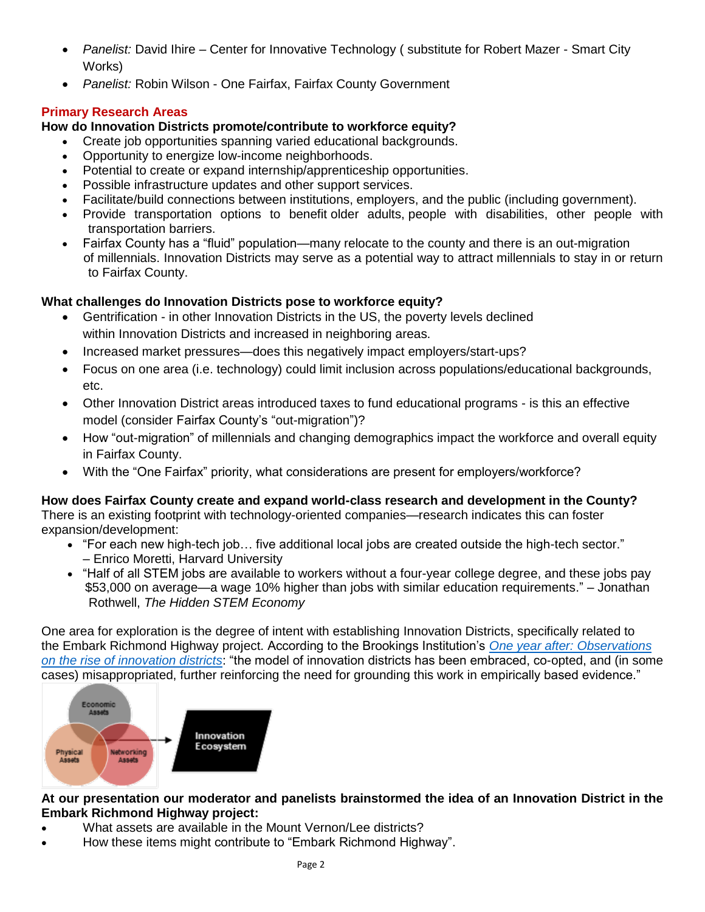- *Panelist:* David Ihire Center for Innovative Technology ( substitute for Robert Mazer Smart City Works)
- *Panelist:* Robin Wilson One Fairfax, Fairfax County Government

# **Primary Research Areas**

# **How do Innovation Districts promote/contribute to workforce equity?**

- Create job opportunities spanning varied educational backgrounds.
- Opportunity to energize low-income neighborhoods.
- Potential to create or expand internship/apprenticeship opportunities.
- Possible infrastructure updates and other support services.
- Facilitate/build connections between institutions, employers, and the public (including government).
- Provide transportation options to benefit older adults, people with disabilities, other people with transportation barriers.
- Fairfax County has a "fluid" population—many relocate to the county and there is an out-migration of millennials. Innovation Districts may serve as a potential way to attract millennials to stay in or return to Fairfax County.

# **What challenges do Innovation Districts pose to workforce equity?**

- Gentrification in other Innovation Districts in the US, the poverty levels declined within Innovation Districts and increased in neighboring areas.
- Increased market pressures—does this negatively impact employers/start-ups?
- Focus on one area (i.e. technology) could limit inclusion across populations/educational backgrounds, etc.
- Other Innovation District areas introduced taxes to fund educational programs is this an effective model (consider Fairfax County's "out-migration")?
- How "out-migration" of millennials and changing demographics impact the workforce and overall equity in Fairfax County.
- With the "One Fairfax" priority, what considerations are present for employers/workforce?

# **How does Fairfax County create and expand world-class research and development in the County?**

There is an existing footprint with technology-oriented companies—research indicates this can foster expansion/development:

- "For each new high-tech job… five additional local jobs are created outside the high-tech sector." – Enrico Moretti, Harvard University
- "Half of all STEM jobs are available to workers without a four-year college degree, and these jobs pay \$53,000 on average—a wage 10% higher than jobs with similar education requirements." – Jonathan Rothwell, *The Hidden STEM Economy*

One area for exploration is the degree of intent with establishing Innovation Districts, specifically related to the Embark Richmond Highway project. According to the Brookings Institution's *[One year after: Observations](https://www.brookings.edu/research/one-year-after-observations-on-the-rise-of-innovation-districts/)  [on the rise of innovation districts](https://www.brookings.edu/research/one-year-after-observations-on-the-rise-of-innovation-districts/)*: "the model of innovation districts has been embraced, co-opted, and (in some cases) misappropriated, further reinforcing the need for grounding this work in empirically based evidence."



# **At our presentation our moderator and panelists brainstormed the idea of an Innovation District in the Embark Richmond Highway project:**

- What assets are available in the Mount Vernon/Lee districts?
- How these items might contribute to "Embark Richmond Highway".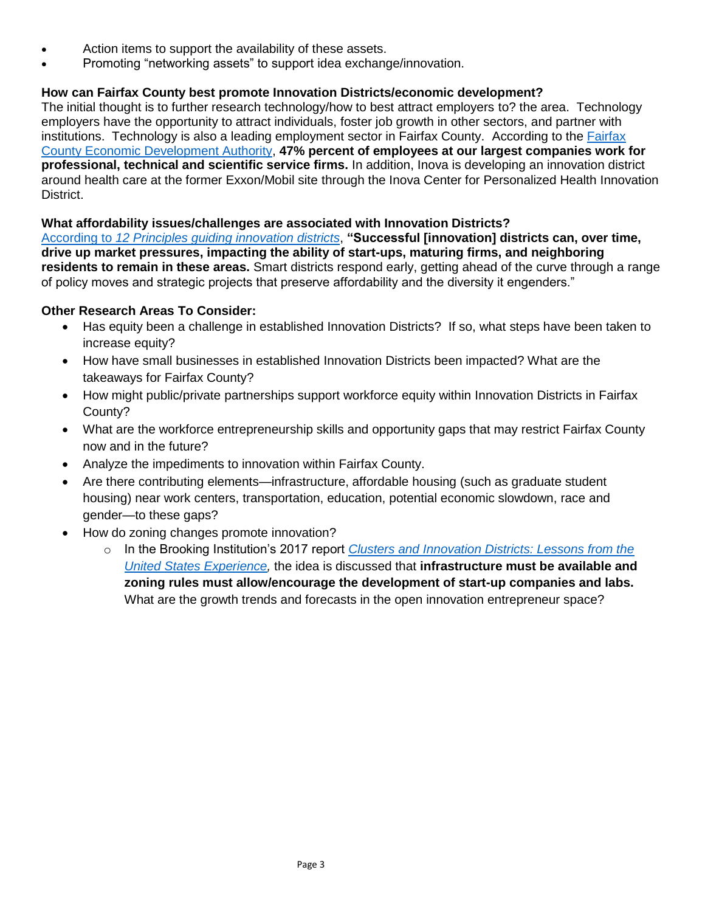- Action items to support the availability of these assets.
- Promoting "networking assets" to support idea exchange/innovation.

## **How can Fairfax County best promote Innovation Districts/economic development?**

The initial thought is to further research technology/how to best attract employers to? the area. Technology employers have the opportunity to attract individuals, foster job growth in other sectors, and partner with institutions. Technology is also a leading employment sector in Fairfax County. According to the [Fairfax](https://www.fairfaxcountyeda.org/publications/largest-employers/)  [County Economic Development Authority,](https://www.fairfaxcountyeda.org/publications/largest-employers/) **47% percent of employees at our largest companies work for professional, technical and scientific service firms.** In addition, Inova is developing an innovation district around health care at the former Exxon/Mobil site through the Inova Center for Personalized Health Innovation District. 

## **What affordability issues/challenges are associated with Innovation Districts?**

According to *[12 Principles guiding innovation districts](https://www.brookings.edu/blog/metropolitan-revolution/2017/09/08/12-principles-guiding-innovation-districts-2/)*, **"Successful [innovation] districts can, over time, drive up market pressures, impacting the ability of start-ups, maturing firms, and neighboring residents to remain in these areas.** Smart districts respond early, getting ahead of the curve through a range of policy moves and strategic projects that preserve affordability and the diversity it engenders."

## **Other Research Areas To Consider:**

- Has equity been a challenge in established Innovation Districts? If so, what steps have been taken to increase equity?
- How have small businesses in established Innovation Districts been impacted? What are the takeaways for Fairfax County?
- How might public/private partnerships support workforce equity within Innovation Districts in Fairfax County?
- What are the workforce entrepreneurship skills and opportunity gaps that may restrict Fairfax County now and in the future?
- Analyze the impediments to innovation within Fairfax County.
- Are there contributing elements—infrastructure, affordable housing (such as graduate student housing) near work centers, transportation, education, potential economic slowdown, race and gender—to these gaps?
- How do zoning changes promote innovation?
	- o In the Brooking Institution's 2017 report *[Clusters and Innovation Districts: Lessons from the](https://www.brookings.edu/wp-content/uploads/2017/12/es_20171208_bailyclustersandinnovation.pdf)  [United States Experience,](https://www.brookings.edu/wp-content/uploads/2017/12/es_20171208_bailyclustersandinnovation.pdf)* the idea is discussed that **infrastructure must be available and zoning rules must allow/encourage the development of start-up companies and labs.** What are the growth trends and forecasts in the open innovation entrepreneur space?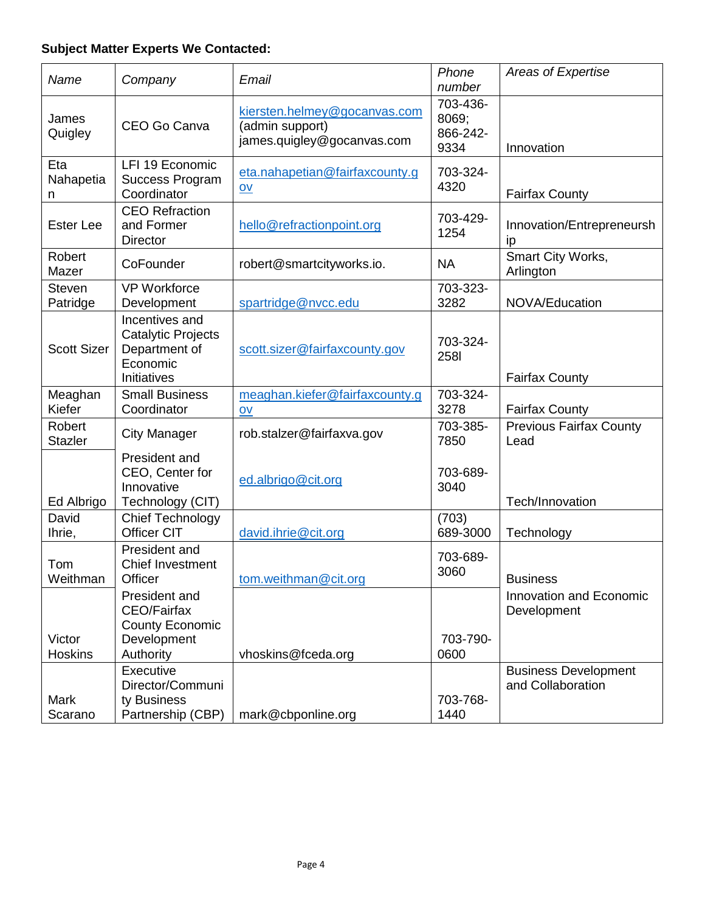# **Subject Matter Experts We Contacted:**

| Name                      | Company                                                                                   | Email                                                                         | Phone<br>number                       | Areas of Expertise                               |
|---------------------------|-------------------------------------------------------------------------------------------|-------------------------------------------------------------------------------|---------------------------------------|--------------------------------------------------|
| James<br>Quigley          | CEO Go Canva                                                                              | kiersten.helmey@gocanvas.com<br>(admin support)<br>james.quigley@gocanvas.com | 703-436-<br>8069;<br>866-242-<br>9334 | Innovation                                       |
| Eta<br>Nahapetia<br>n     | LFI 19 Economic<br><b>Success Program</b><br>Coordinator                                  | eta.nahapetian@fairfaxcounty.g<br>$\underline{\mathsf{ov}}$                   | 703-324-<br>4320                      | <b>Fairfax County</b>                            |
| <b>Ester Lee</b>          | <b>CEO Refraction</b><br>and Former<br><b>Director</b>                                    | hello@refractionpoint.org                                                     | 703-429-<br>1254                      | Innovation/Entrepreneursh<br>ip                  |
| Robert<br>Mazer           | CoFounder                                                                                 | robert@smartcityworks.io.                                                     | <b>NA</b>                             | Smart City Works,<br>Arlington                   |
| <b>Steven</b><br>Patridge | <b>VP Workforce</b><br>Development                                                        | spartridge@nvcc.edu                                                           | 703-323-<br>3282                      | NOVA/Education                                   |
| <b>Scott Sizer</b>        | Incentives and<br>Catalytic Projects<br>Department of<br>Economic<br>Initiatives          | scott.sizer@fairfaxcounty.gov                                                 | 703-324-<br><b>258I</b>               | <b>Fairfax County</b>                            |
| Meaghan<br>Kiefer         | <b>Small Business</b><br>Coordinator                                                      | meaghan.kiefer@fairfaxcounty.g<br>$\overline{O}V$                             | 703-324-<br>3278                      | <b>Fairfax County</b>                            |
| Robert<br><b>Stazler</b>  | <b>City Manager</b>                                                                       | rob.stalzer@fairfaxva.gov                                                     | 703-385-<br>7850                      | <b>Previous Fairfax County</b><br>Lead           |
| Ed Albrigo                | President and<br>CEO, Center for<br>Innovative<br>Technology (CIT)                        | ed.albrigo@cit.org                                                            | 703-689-<br>3040                      | Tech/Innovation                                  |
| David<br>Ihrie,           | <b>Chief Technology</b><br>Officer CIT                                                    | david.ihrie@cit.org                                                           | (703)<br>689-3000                     | Technology                                       |
| Tom<br>Weithman           | President and<br>Chief Investment<br>Officer                                              | tom.weithman@cit.org                                                          | 703-689-<br>3060                      | <b>Business</b>                                  |
| Victor<br><b>Hoskins</b>  | President and<br><b>CEO/Fairfax</b><br><b>County Economic</b><br>Development<br>Authority | vhoskins@fceda.org                                                            | 703-790-<br>0600                      | Innovation and Economic<br>Development           |
| <b>Mark</b><br>Scarano    | Executive<br>Director/Communi<br>ty Business<br>Partnership (CBP)                         | mark@cbponline.org                                                            | 703-768-<br>1440                      | <b>Business Development</b><br>and Collaboration |